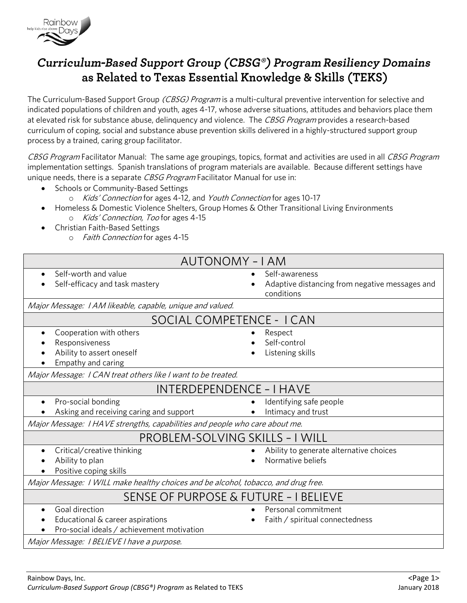

## Curriculum-Based Support Group (CBSG®) Program Resiliency Domains as Related to Texas Essential Knowledge & Skills (TEKS)

The Curriculum-Based Support Group *(CBSG) Program* is a multi-cultural preventive intervention for selective and<br>indicated populations of children and youth, ages 4-17, whose adverse situations, attitudes and behaviors pl Indicated populations of children and youth, ages 4-17, whose adverse situations, attitudes and behaviors place them<br>at elevated risk for substance abuse, delinquency and violence. The *CBSG Program* provides a research-ba curriculum of coping, social and substance abuse prevention skills delivered in a highly-structured support group<br>process by a trained, caring group facilitator. process by a trained, caring group facilitator.

CBSG Program Facilitator Manual: The same age groupings, topics, format and activities are used in all CBSG Program<br>implementation settings. Spanish translations of program materials are available. Because different settin imprementation settings. Spanish translations of program materials are available. Because different settings have unique needs, there is a separate *CBSG Program* Facilitator Manual for use in:

- Schools or Community-Based Settings
	- o Kids' Connection for ages 4-12, and Youth Connection for ages 10-17
- Homeless & Domestic Violence Shelters, Group Homes & Other Transitional Living Environments <sup>o</sup> Kids' Connection, Too for ages 4-15
- Christian Faith-Based Settings
	- o *Faith Connection* for ages 4-15

| <b>AUTONOMY - I AM</b>                                                                                        |                                                                                |
|---------------------------------------------------------------------------------------------------------------|--------------------------------------------------------------------------------|
| Self-worth and value<br>Self-efficacy and task mastery                                                        | Self-awareness<br>Adaptive distancing from negative messages and<br>conditions |
| Major Message: 1 AM likeable, capable, unique and valued.                                                     |                                                                                |
| SOCIAL COMPETENCE - I CAN                                                                                     |                                                                                |
| Cooperation with others<br>$\bullet$<br>Responsiveness<br>Ability to assert oneself<br>Empathy and caring     | Respect<br>Self-control<br>Listening skills                                    |
| Major Message: I CAN treat others like I want to be treated.                                                  |                                                                                |
| INTERDEPENDENCE - I HAVE                                                                                      |                                                                                |
| Pro-social bonding<br>Asking and receiving caring and support                                                 | Identifying safe people<br>Intimacy and trust                                  |
| Major Message: I HAVE strengths, capabilities and people who care about me.                                   |                                                                                |
| PROBLEM-SOLVING SKILLS - I WILL                                                                               |                                                                                |
| Critical/creative thinking<br>Ability to plan<br>Positive coping skills                                       | Ability to generate alternative choices<br>Normative beliefs                   |
| Major Message: I WILL make healthy choices and be alcohol, tobacco, and drug free.                            |                                                                                |
| SENSE OF PURPOSE & FUTURE - I BELIEVE                                                                         |                                                                                |
| Goal direction<br>$\bullet$<br>Educational & career aspirations<br>Pro-social ideals / achievement motivation | Personal commitment<br>Faith / spiritual connectedness                         |
| Major Message: I BELIEVE I have a purpose.                                                                    |                                                                                |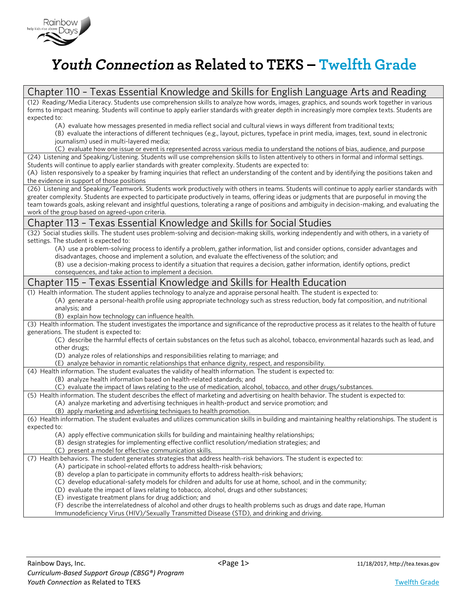

## Youth Connection as Related to TEKS - Twelfth Grade

| Chapter 110 - Texas Essential Knowledge and Skills for English Language Arts and Reading                                                                                                                         |
|------------------------------------------------------------------------------------------------------------------------------------------------------------------------------------------------------------------|
| (12) Reading/Media Literacy. Students use comprehension skills to analyze how words, images, graphics, and sounds work together in various                                                                       |
| forms to impact meaning. Students will continue to apply earlier standards with greater depth in increasingly more complex texts. Students are                                                                   |
| expected to:                                                                                                                                                                                                     |
| (A) evaluate how messages presented in media reflect social and cultural views in ways different from traditional texts;                                                                                         |
| (B) evaluate the interactions of different techniques (e.g., layout, pictures, typeface in print media, images, text, sound in electronic                                                                        |
| journalism) used in multi-layered media;                                                                                                                                                                         |
| (C) evaluate how one issue or event is represented across various media to understand the notions of bias, audience, and purpose                                                                                 |
| (24) Listening and Speaking/Listening. Students will use comprehension skills to listen attentively to others in formal and informal settings.                                                                   |
| Students will continue to apply earlier standards with greater complexity. Students are expected to:                                                                                                             |
| (A) listen responsively to a speaker by framing inquiries that reflect an understanding of the content and by identifying the positions taken and<br>the evidence in support of those positions                  |
| (26) Listening and Speaking/Teamwork. Students work productively with others in teams. Students will continue to apply earlier standards with                                                                    |
| greater complexity. Students are expected to participate productively in teams, offering ideas or judgments that are purposeful in moving the                                                                    |
| team towards goals, asking relevant and insightful questions, tolerating a range of positions and ambiguity in decision-making, and evaluating the                                                               |
| work of the group based on agreed-upon criteria.                                                                                                                                                                 |
| Chapter 113 - Texas Essential Knowledge and Skills for Social Studies                                                                                                                                            |
| (32) Social studies skills. The student uses problem-solving and decision-making skills, working independently and with others, in a variety of                                                                  |
| settings. The student is expected to:                                                                                                                                                                            |
| (A) use a problem-solving process to identify a problem, gather information, list and consider options, consider advantages and                                                                                  |
| disadvantages, choose and implement a solution, and evaluate the effectiveness of the solution; and                                                                                                              |
| (B) use a decision-making process to identify a situation that requires a decision, gather information, identify options, predict                                                                                |
| consequences, and take action to implement a decision.                                                                                                                                                           |
| Chapter 115 - Texas Essential Knowledge and Skills for Health Education                                                                                                                                          |
| (1) Health information. The student applies technology to analyze and appraise personal health. The student is expected to:                                                                                      |
| (A) generate a personal-health profile using appropriate technology such as stress reduction, body fat composition, and nutritional                                                                              |
|                                                                                                                                                                                                                  |
| analysis; and                                                                                                                                                                                                    |
| (B) explain how technology can influence health.                                                                                                                                                                 |
| (3) Health information. The student investigates the importance and significance of the reproductive process as it relates to the health of future                                                               |
| generations. The student is expected to:                                                                                                                                                                         |
| (C) describe the harmful effects of certain substances on the fetus such as alcohol, tobacco, environmental hazards such as lead, and                                                                            |
| other drugs;                                                                                                                                                                                                     |
| (D) analyze roles of relationships and responsibilities relating to marriage; and                                                                                                                                |
| (E) analyze behavior in romantic relationships that enhance dignity, respect, and responsibility.                                                                                                                |
| (4) Health information. The student evaluates the validity of health information. The student is expected to:                                                                                                    |
| (B) analyze health information based on health-related standards; and                                                                                                                                            |
| (C) evaluate the impact of laws relating to the use of medication, alcohol, tobacco, and other drugs/substances.                                                                                                 |
| (5) Health information. The student describes the effect of marketing and advertising on health behavior. The student is expected to:                                                                            |
| (A) analyze marketing and advertising techniques in health-product and service promotion; and                                                                                                                    |
| (B) apply marketing and advertising techniques to health promotion.                                                                                                                                              |
| (6) Health information. The student evaluates and utilizes communication skills in building and maintaining healthy relationships. The student is                                                                |
| expected to:<br>(A) apply effective communication skills for building and maintaining healthy relationships;                                                                                                     |
| (B) design strategies for implementing effective conflict resolution/mediation strategies; and                                                                                                                   |
| (C) present a model for effective communication skills.                                                                                                                                                          |
| (7) Health behaviors. The student generates strategies that address health-risk behaviors. The student is expected to:                                                                                           |
| (A) participate in school-related efforts to address health-risk behaviors;                                                                                                                                      |
| (B) develop a plan to participate in community efforts to address health-risk behaviors;                                                                                                                         |
| (C) develop educational-safety models for children and adults for use at home, school, and in the community;                                                                                                     |
| (D) evaluate the impact of laws relating to tobacco, alcohol, drugs and other substances;                                                                                                                        |
| (E) investigate treatment plans for drug addiction; and                                                                                                                                                          |
| (F) describe the interrelatedness of alcohol and other drugs to health problems such as drugs and date rape, Human<br>Immunodeficiency Virus (HIV)/Sexually Transmitted Disease (STD), and drinking and driving. |